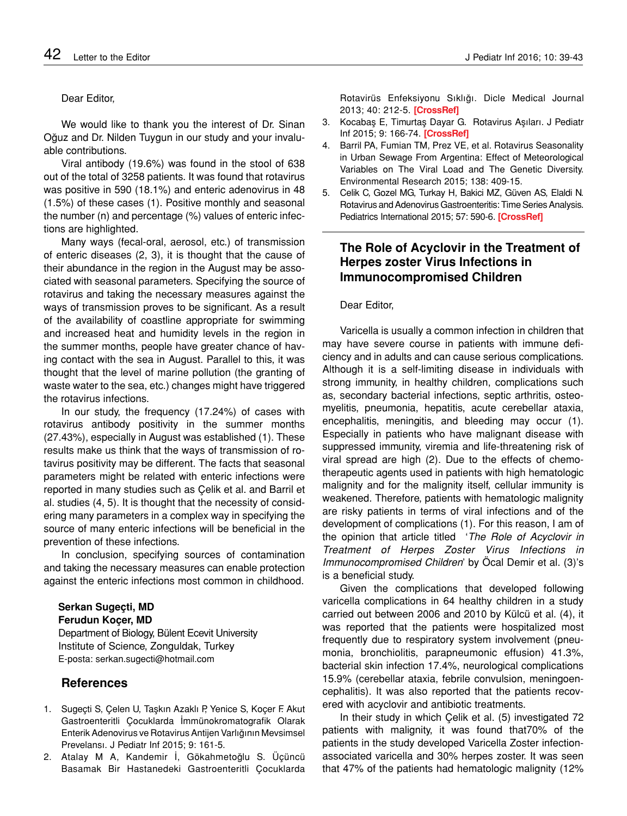### Dear Editor,

We would like to thank you the interest of Dr. Sinan Oğuz and Dr. Nilden Tuygun in our study and your invaluable contributions.

Viral antibody (19.6%) was found in the stool of 638 out of the total of 3258 patients. It was found that rotavirus was positive in 590 (18.1%) and enteric adenovirus in 48 (1.5%) of these cases (1). Positive monthly and seasonal the number (n) and percentage (%) values of enteric infections are highlighted.

Many ways (fecal-oral, aerosol, etc.) of transmission of enteric diseases (2, 3), it is thought that the cause of their abundance in the region in the August may be associated with seasonal parameters. Specifying the source of rotavirus and taking the necessary measures against the ways of transmission proves to be significant. As a result of the availability of coastline appropriate for swimming and increased heat and humidity levels in the region in the summer months, people have greater chance of having contact with the sea in August. Parallel to this, it was thought that the level of marine pollution (the granting of waste water to the sea, etc.) changes might have triggered the rotavirus infections.

In our study, the frequency (17.24%) of cases with rotavirus antibody positivity in the summer months (27.43%), especially in August was established (1). These results make us think that the ways of transmission of rotavirus positivity may be different. The facts that seasonal parameters might be related with enteric infections were reported in many studies such as Çelik et al. and Barril et al. studies (4, 5). It is thought that the necessity of considering many parameters in a complex way in specifying the source of many enteric infections will be beneficial in the prevention of these infections.

In conclusion, specifying sources of contamination and taking the necessary measures can enable protection against the enteric infections most common in childhood.

**Serkan Sugeçti, MD Ferudun Koçer, MD** Department of Biology, Bülent Ecevit University

Institute of Science, Zonguldak, Turkey E-posta: serkan.sugecti@hotmail.com

# **References**

- 1. Sugeçti S, Çelen U, Taşkın Azaklı P, Yenice S, Koçer F. Akut Gastroenteritli Çocuklarda İmmünokromatografik Olarak Enterik Adenovirus ve Rotavirus Antijen Varlığının Mevsimsel Prevelansı. J Pediatr Inf 2015; 9: 161-5.
- 2. Atalay M A, Kandemir İ, Gökahmetoğlu S. Üçüncü Basamak Bir Hastanedeki Gastroenteritli Çocuklarda

Rotavirüs Enfeksiyonu Sıklığı. Dicle Medical Journal 2013; 40: 212-5. **[\[CrossRef\]](http://dx.doi.org/10.5798/diclemedj.0921.2013.02.0256)**

- 3. Kocabaş E, Timurtaş Dayar G. Rotavirus Aşıları. J Pediatr Inf 2015; 9: 166-74. **[\[CrossRef\]](http://dx.doi.org/10.1016/j.envres.2015.03.004)**
- 4. Barril PA, Fumian TM, Prez VE, et al. Rotavirus Seasonality in Urban Sewage From Argentina: Effect of Meteorological Variables on The Viral Load and The Genetic Diversity. Environmental Research 2015; 138: 409-15.
- 5. Celik C, Gozel MG, Turkay H, Bakici MZ, Güven AS, Elaldi N. Rotavirus and Adenovirus Gastroenteritis: Time Series Analysis. Pediatrics International 2015; 57: 590-6. **[CrossRef]**

# **The Role of Acyclovir in the Treatment of Herpes zoster Virus Infections in Immunocompromised Children**

#### Dear Editor,

Varicella is usually a common infection in children that may have severe course in patients with immune deficiency and in adults and can cause serious complications. Although it is a self-limiting disease in individuals with strong immunity, in healthy children, complications such as, secondary bacterial infections, septic arthritis, osteomyelitis, pneumonia, hepatitis, acute cerebellar ataxia, encephalitis, meningitis, and bleeding may occur (1). Especially in patients who have malignant disease with suppressed immunity, viremia and life-threatening risk of viral spread are high (2). Due to the effects of chemotherapeutic agents used in patients with high hematologic malignity and for the malignity itself, cellular immunity is weakened. Therefore, patients with hematologic malignity are risky patients in terms of viral infections and of the development of complications (1). For this reason, I am of the opinion that article titled '*The Role of Acyclovir in Treatment of Herpes Zoster Virus Infections in Immunocompromised Children*' by Öcal Demir et al. (3)'s is a beneficial study.

Given the complications that developed following varicella complications in 64 healthy children in a study carried out between 2006 and 2010 by Külcü et al. (4), it was reported that the patients were hospitalized most frequently due to respiratory system involvement (pneumonia, bronchiolitis, parapneumonic effusion) 41.3%, bacterial skin infection 17.4%, neurological complications 15.9% (cerebellar ataxia, febrile convulsion, meningoencephalitis). It was also reported that the patients recovered with acyclovir and antibiotic treatments.

In their study in which Çelik et al. (5) investigated 72 patients with malignity, it was found that70% of the patients in the study developed Varicella Zoster infectionassociated varicella and 30% herpes zoster. It was seen that 47% of the patients had hematologic malignity (12%